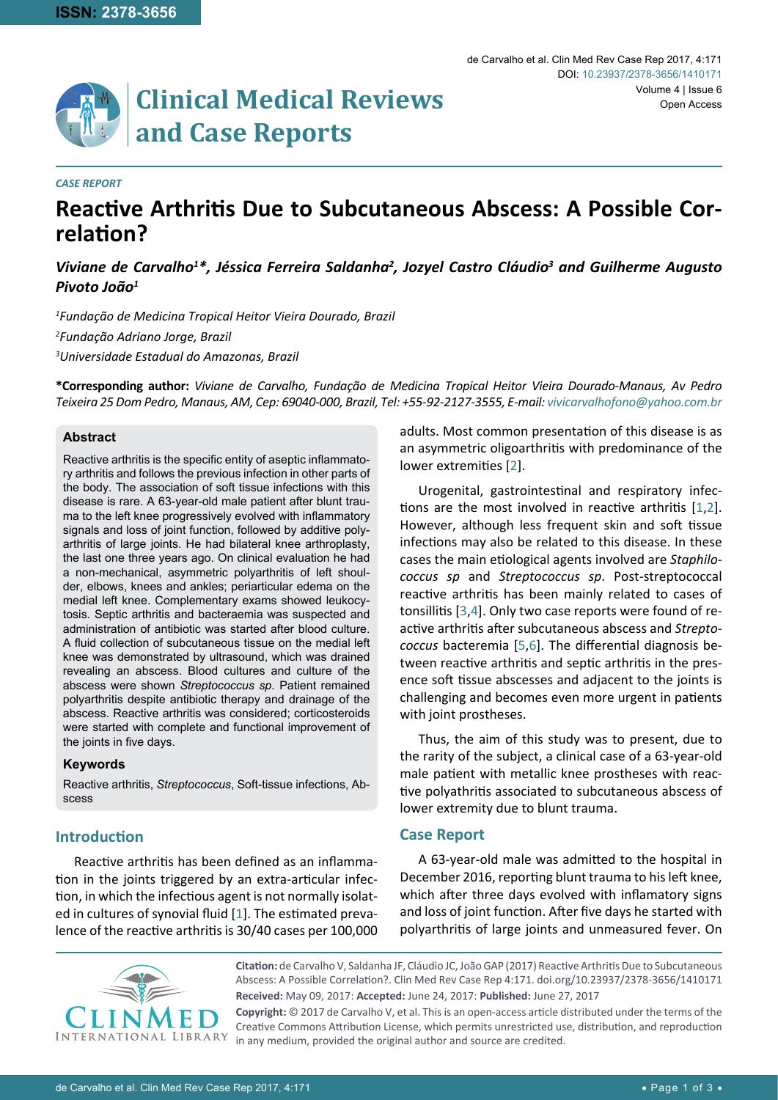

#### *CASE REPORT*

# **Reactive Arthritis Due to Subcutaneous Abscess: A Possible Correlation?**

# Viviane de Carvalho<sup>1\*</sup>, Jéssica Ferreira Saldanha<sup>2</sup>, Jozyel Castro Cláudio<sup>3</sup> and Guilherme Augusto *Pivoto João1*

*1 Fundação de Medicina Tropical Heitor Vieira Dourado, Brazil 2 Fundação Adriano Jorge, Brazil 3 Universidade Estadual do Amazonas, Brazil*

**\*Corresponding author:** *Viviane de Carvalho, Fundação de Medicina Tropical Heitor Vieira Dourado-Manaus, Av Pedro Teixeira 25 Dom Pedro, Manaus, AM, Cep: 69040-000, Brazil, Tel: +55-92-2127-3555, E-mail: vivicarvalhofono@yahoo.com.br*

#### **Abstract**

Reactive arthritis is the specific entity of aseptic inflammatory arthritis and follows the previous infection in other parts of the body. The association of soft tissue infections with this disease is rare. A 63-year-old male patient after blunt trauma to the left knee progressively evolved with inflammatory signals and loss of joint function, followed by additive polyarthritis of large joints. He had bilateral knee arthroplasty, the last one three years ago. On clinical evaluation he had a non-mechanical, asymmetric polyarthritis of left shoulder, elbows, knees and ankles; periarticular edema on the medial left knee. Complementary exams showed leukocytosis. Septic arthritis and bacteraemia was suspected and administration of antibiotic was started after blood culture. A fluid collection of subcutaneous tissue on the medial left knee was demonstrated by ultrasound, which was drained revealing an abscess. Blood cultures and culture of the abscess were shown *Streptococcus sp*. Patient remained polyarthritis despite antibiotic therapy and drainage of the abscess. Reactive arthritis was considered; corticosteroids were started with complete and functional improvement of the joints in five days.

#### **Keywords**

Reactive arthritis, *Streptococcus*, Soft-tissue infections, Abscess

## **Introduction**

Reactive arthritis has been defined as an inflammation in the joints triggered by an extra-articular infection, in which the infectious agent is not normally isolated in cultures of synovial fluid [[1](#page-2-1)]. The estimated prevalence of the reactive arthritis is 30/40 cases per 100,000 adults. Most common presentation of this disease is as an asymmetric oligoarthritis with predominance of the lower extremities [[2](#page-2-0)].

Urogenital, gastrointestinal and respiratory infections are the most involved in reactive arthritis [[1](#page-2-1)[,2](#page-2-0)]. However, although less frequent skin and soft tissue infections may also be related to this disease. In these cases the main etiological agents involved are *Staphilococcus sp* and *Streptococcus sp*. Post-streptococcal reactive arthritis has been mainly related to cases of tonsillitis [\[3](#page-2-2),[4\]](#page-2-3). Only two case reports were found of reactive arthritis after subcutaneous abscess and *Streptococcus* bacteremia [[5](#page-2-4),[6\]](#page-2-5). The differential diagnosis between reactive arthritis and septic arthritis in the presence soft tissue abscesses and adjacent to the joints is challenging and becomes even more urgent in patients with joint prostheses.

Thus, the aim of this study was to present, due to the rarity of the subject, a clinical case of a 63-year-old male patient with metallic knee prostheses with reactive polyathritis associated to subcutaneous abscess of lower extremity due to blunt trauma.

#### **Case Report**

A 63-year-old male was admitted to the hospital in December 2016, reporting blunt trauma to his left knee, which after three days evolved with inflamatory signs and loss of joint function. After five days he started with polyarthritis of large joints and unmeasured fever. On



**Citation:** de Carvalho V, Saldanha JF, Cláudio JC, João GAP (2017) Reactive Arthritis Due to Subcutaneous Abscess: A Possible Correlation?. Clin Med Rev Case Rep 4:171. [doi.org/10.23937/2378-3656/141017](https://doi.org/10.23937/2378-3656/1410171)1 **Received:** May 09, 2017: **Accepted:** June 24, 2017: **Published:** June 27, 2017

**Copyright:** © 2017 de Carvalho V, et al. This is an open-access article distributed under the terms of the Creative Commons Attribution License, which permits unrestricted use, distribution, and reproduction in any medium, provided the original author and source are credited.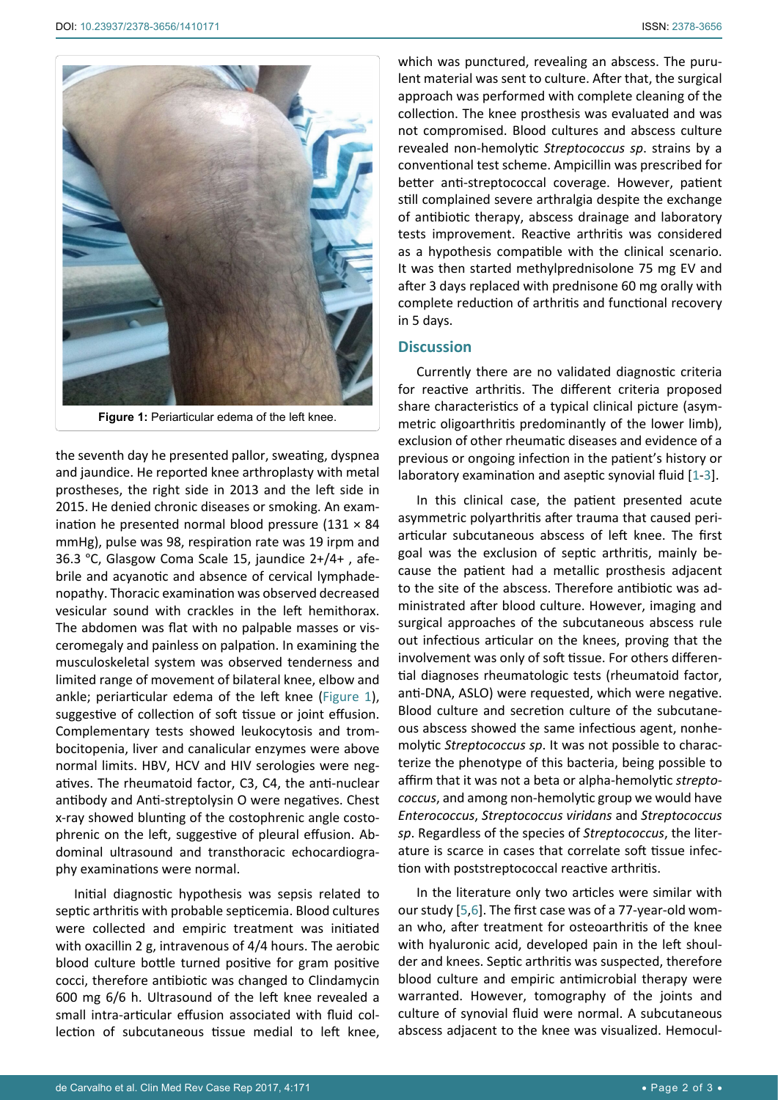<span id="page-1-0"></span>

the seventh day he presented pallor, sweating, dyspnea and jaundice. He reported knee arthroplasty with metal prostheses, the right side in 2013 and the left side in 2015. He denied chronic diseases or smoking. An examination he presented normal blood pressure (131  $\times$  84 mmHg), pulse was 98, respiration rate was 19 irpm and 36.3 °C, Glasgow Coma Scale 15, jaundice 2+/4+ , afebrile and acyanotic and absence of cervical lymphadenopathy. Thoracic examination was observed decreased vesicular sound with crackles in the left hemithorax. The abdomen was flat with no palpable masses or visceromegaly and painless on palpation. In examining the musculoskeletal system was observed tenderness and limited range of movement of bilateral knee, elbow and ankle; periarticular edema of the left knee [\(Figure 1](#page-1-0)), suggestive of collection of soft tissue or joint effusion. Complementary tests showed leukocytosis and trombocitopenia, liver and canalicular enzymes were above normal limits. HBV, HCV and HIV serologies were negatives. The rheumatoid factor, C3, C4, the anti-nuclear antibody and Anti-streptolysin O were negatives. Chest x-ray showed blunting of the costophrenic angle costophrenic on the left, suggestive of pleural effusion. Abdominal ultrasound and transthoracic echocardiography examinations were normal.

Initial diagnostic hypothesis was sepsis related to septic arthritis with probable septicemia. Blood cultures were collected and empiric treatment was initiated with oxacillin 2 g, intravenous of 4/4 hours. The aerobic blood culture bottle turned positive for gram positive cocci, therefore antibiotic was changed to Clindamycin 600 mg 6/6 h. Ultrasound of the left knee revealed a small intra-articular effusion associated with fluid collection of subcutaneous tissue medial to left knee, which was punctured, revealing an abscess. The purulent material was sent to culture. After that, the surgical approach was performed with complete cleaning of the collection. The knee prosthesis was evaluated and was not compromised. Blood cultures and abscess culture revealed non-hemolytic *Streptococcus sp*. strains by a conventional test scheme. Ampicillin was prescribed for better anti-streptococcal coverage. However, patient still complained severe arthralgia despite the exchange of antibiotic therapy, abscess drainage and laboratory tests improvement. Reactive arthritis was considered as a hypothesis compatible with the clinical scenario. It was then started methylprednisolone 75 mg EV and after 3 days replaced with prednisone 60 mg orally with complete reduction of arthritis and functional recovery in 5 days.

### **Discussion**

Currently there are no validated diagnostic criteria for reactive arthritis. The different criteria proposed share characteristics of a typical clinical picture (asymmetric oligoarthritis predominantly of the lower limb), exclusion of other rheumatic diseases and evidence of a previous or ongoing infection in the patient's history or laboratory examination and aseptic synovial fluid [[1](#page-2-1)-[3](#page-2-2)].

In this clinical case, the patient presented acute asymmetric polyarthritis after trauma that caused periarticular subcutaneous abscess of left knee. The first goal was the exclusion of septic arthritis, mainly because the patient had a metallic prosthesis adjacent to the site of the abscess. Therefore antibiotic was administrated after blood culture. However, imaging and surgical approaches of the subcutaneous abscess rule out infectious articular on the knees, proving that the involvement was only of soft tissue. For others differential diagnoses rheumatologic tests (rheumatoid factor, anti-DNA, ASLO) were requested, which were negative. Blood culture and secretion culture of the subcutaneous abscess showed the same infectious agent, nonhemolytic *Streptococcus sp*. It was not possible to characterize the phenotype of this bacteria, being possible to affirm that it was not a beta or alpha-hemolytic *streptococcus*, and among non-hemolytic group we would have *Enterococcus*, *Streptococcus viridans* and *Streptococcus sp*. Regardless of the species of *Streptococcus*, the literature is scarce in cases that correlate soft tissue infection with poststreptococcal reactive arthritis.

In the literature only two articles were similar with our study [\[5](#page-2-4),[6](#page-2-5)]. The first case was of a 77-year-old woman who, after treatment for osteoarthritis of the knee with hyaluronic acid, developed pain in the left shoulder and knees. Septic arthritis was suspected, therefore blood culture and empiric antimicrobial therapy were warranted. However, tomography of the joints and culture of synovial fluid were normal. A subcutaneous abscess adjacent to the knee was visualized. Hemocul